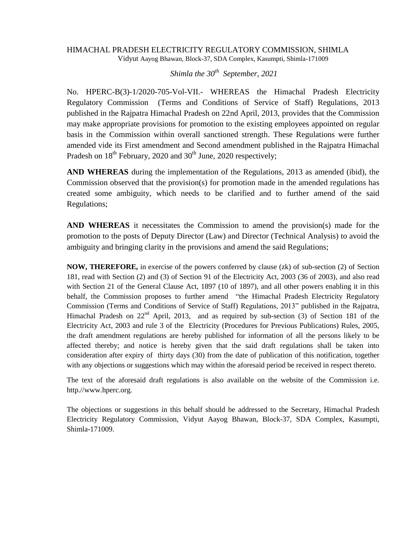## HIMACHAL PRADESH ELECTRICITY REGULATORY COMMISSION, SHIMLA Vidyut Aayog Bhawan, Block-37, SDA Complex, Kasumpti, Shimla-171009

*Shimla the 30th September, 2021*

No. HPERC-B(3)-1/2020-705-Vol-VII.- WHEREAS the Himachal Pradesh Electricity Regulatory Commission (Terms and Conditions of Service of Staff) Regulations, 2013 published in the Rajpatra Himachal Pradesh on 22nd April, 2013, provides that the Commission may make appropriate provisions for promotion to the existing employees appointed on regular basis in the Commission within overall sanctioned strength. These Regulations were further amended vide its First amendment and Second amendment published in the Rajpatra Himachal Pradesh on  $18^{th}$  February, 2020 and  $30^{th}$  June, 2020 respectively;

**AND WHEREAS** during the implementation of the Regulations, 2013 as amended (ibid), the Commission observed that the provision(s) for promotion made in the amended regulations has created some ambiguity, which needs to be clarified and to further amend of the said Regulations;

**AND WHEREAS** it necessitates the Commission to amend the provision(s) made for the promotion to the posts of Deputy Director (Law) and Director (Technical Analysis) to avoid the ambiguity and bringing clarity in the provisions and amend the said Regulations;

**NOW, THEREFORE,** in exercise of the powers conferred by clause (zk) of sub-section (2) of Section 181, read with Section (2) and (3) of Section 91 of the Electricity Act, 2003 (36 of 2003), and also read with Section 21 of the General Clause Act, 1897 (10 of 1897), and all other powers enabling it in this behalf, the Commission proposes to further amend "the Himachal Pradesh Electricity Regulatory Commission (Terms and Conditions of Service of Staff) Regulations, 2013" published in the Rajpatra, Himachal Pradesh on  $22<sup>nd</sup>$  April, 2013, and as required by sub-section (3) of Section 181 of the Electricity Act, 2003 and rule 3 of the Electricity (Procedures for Previous Publications) Rules, 2005, the draft amendment regulations are hereby published for information of all the persons likely to be affected thereby; and notice is hereby given that the said draft regulations shall be taken into consideration after expiry of thirty days (30) from the date of publication of this notification, together with any objections or suggestions which may within the aforesaid period be received in respect thereto.

The text of the aforesaid draft regulations is also available on the website of the Commission i.e. http.//www.hperc.org.

The objections or suggestions in this behalf should be addressed to the Secretary, Himachal Pradesh Electricity Regulatory Commission, Vidyut Aayog Bhawan, Block-37, SDA Complex, Kasumpti, Shimla-171009.